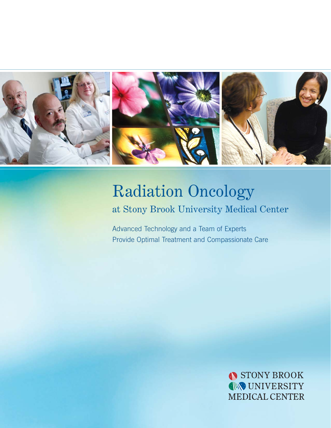

# Radiation Oncology at Stony Brook University Medical Center

Advanced Technology and a Team of Experts Provide Optimal Treatment and Compassionate Care

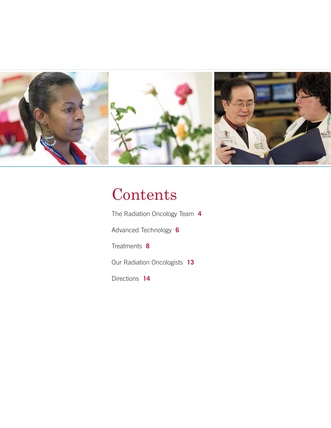

# **Contents**

The Radiation Oncology Team **4**

Advanced Technology **6**

Treatments **8**

Our Radiation Oncologists **13**

Directions **14**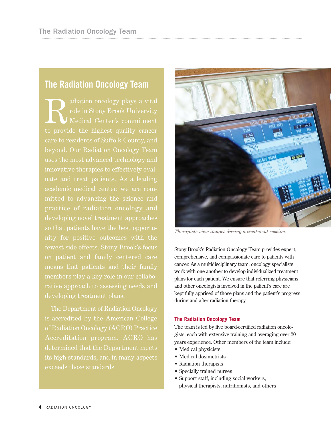### **The Radiation Oncology Team**

Radiation oncology plays a vital<br>role in Stony Brook University<br>Medical Center's commitment<br>to provide the highest cuelity energy role in Stony Brook University Medical Center's commitment to provide the highest quality cancer care to residents of Suffolk County, and beyond. Our Radiation Oncology Team uses the most advanced technology and academic medical center, we are compractice of radiation oncology and developing novel treatment approaches fewest side effects. Stony Brook's focus rative approach to assessing needs and

The Department of Radiation Oncology is accredited by the American College of Radiation Oncology (ACRO) Practice its high standards, and in many aspects exceeds those standards.



*Therapists view images during a treatment session.* 

Stony Brook's Radiation Oncology Team provides expert, comprehensive, and compassionate care to patients with cancer. As a multidisciplinary team, oncology specialists work with one another to develop individualized treatment plans for each patient. We ensure that referring physicians and other oncologists involved in the patient's care are kept fully apprised of those plans and the patient's progress during and after radiation therapy.

#### **The Radiation Oncology Team**

The team is led by five board-certified radiation oncologists, each with extensive training and averaging over 20 years experience. Other members of the team include:

- Medical physicists
- Medical dosimetrists
- Radiation therapists
- Specially trained nurses
- Support staff, including social workers, physical therapists, nutritionists, and others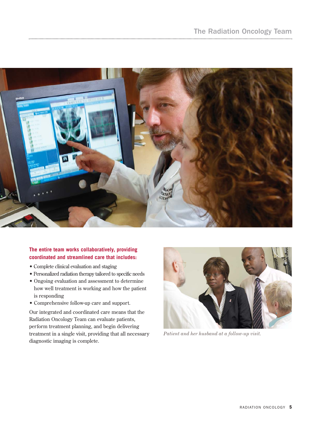

#### **The entire team works collaboratively, providing coordinated and streamlined care that includes:**

- Complete clinical evaluation and staging
- Personalized radiation therapy tailored to specific needs
- Ongoing evaluation and assessment to determine how well treatment is working and how the patient is responding
- Comprehensive follow-up care and support.

Our integrated and coordinated care means that the Radiation Oncology Team can evaluate patients, perform treatment planning, and begin delivering treatment in a single visit, providing that all necessary diagnostic imaging is complete.



*Patient and her husband at a follow-up visit.*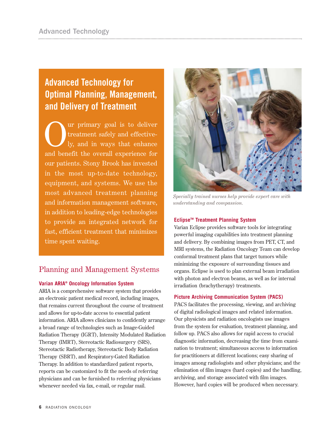# **Advanced Technology for Optimal Planning, Management, and Delivery of Treatment**

Our primary goal is to deliver<br>treatment safely and effective-<br>ly, and in ways that enhance treatment safely and effectively, and in ways that enhance and benefit the overall experience for our patients. Stony Brook has invested in the most up-to-date technology, equipment, and systems. We use the most advanced treatment planning and information management software, in addition to leading-edge technologies to provide an integrated network for fast, efficient treatment that minimizes time spent waiting.

### Planning and Management Systems

#### **Varian ARIA® Oncology Information System**

ARIA is a comprehensive software system that provides an electronic patient medical record, including images, that remains current throughout the course of treatment and allows for up-to-date access to essential patient information. ARIA allows clinicians to confidently arrange a broad range of technologies such as Image-Guided Radiation Therapy (IGRT), Intensity Modulated Radiation Therapy (IMRT), Stereotactic Radiosurgery (SRS), Stereotactic Radiotherapy, Stereotactic Body Radiation Therapy (SBRT), and Respiratory-Gated Radiation Therapy. In addition to standardized patient reports, reports can be customized to fit the needs of referring physicians and can be furnished to referring physicians whenever needed via fax, e-mail, or regular mail.



*Specially trained nurses help provide expert care with understanding and compassion.* 

#### **EclipseTM Treatment Planning System**

Varian Eclipse provides software tools for integrating powerful imaging capabilities into treatment planning and delivery. By combining images from PET, CT, and MRI systems, the Radiation Oncology Team can develop conformal treatment plans that target tumors while minimizing the exposure of surrounding tissues and organs. Eclipse is used to plan external beam irradiation with photon and electron beams, as well as for internal irradiation (brachytherapy) treatments.

#### **Picture Archiving Communication System (PACS)**

PACS facilitates the processing, viewing, and archiving of digital radiological images and related information. Our physicists and radiation oncologists use images from the system for evaluation, treatment planning, and follow up. PACS also allows for rapid access to crucial diagnostic information, decreasing the time from examination to treatment; simultaneous access to information for practitioners at different locations; easy sharing of images among radiologists and other physicians; and the elimination of film images (hard copies) and the handling, archiving, and storage associated with film images. However, hard copies will be produced when necessary.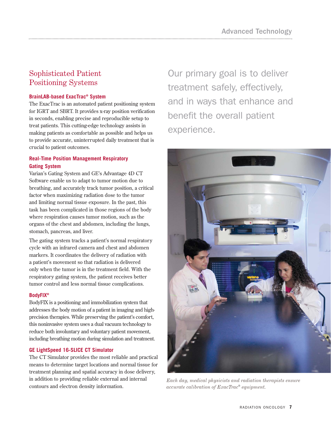### Sophisticated Patient Positioning Systems

#### **BrainLAB-based ExacTrac® System**

The ExacTrac is an automated patient positioning system for IGRT and SBRT. It provides x-ray position verification in seconds, enabling precise and reproducible setup to treat patients. This cutting-edge technology assists in making patients as comfortable as possible and helps us to provide accurate, uninterrupted daily treatment that is crucial to patient outcomes.

#### **Real-Time Position Management Respiratory Gating System**

Varian's Gating System and GE's Advantage 4D CT Software enable us to adapt to tumor motion due to breathing, and accurately track tumor position, a critical factor when maximizing radiation dose to the tumor and limiting normal tissue exposure. In the past, this task has been complicated in those regions of the body where respiration causes tumor motion, such as the organs of the chest and abdomen, including the lungs, stomach, pancreas, and liver.

The gating system tracks a patient's normal respiratory cycle with an infrared camera and chest and abdomen markers. It coordinates the delivery of radiation with a patient's movement so that radiation is delivered only when the tumor is in the treatment field. With the respiratory gating system, the patient receives better tumor control and less normal tissue complications.

#### **BodyFIX®**

BodyFIX is a positioning and immobilization system that addresses the body motion of a patient in imaging and highprecision therapies. While preserving the patient's comfort, this noninvasive system uses a dual vacuum technology to reduce both involuntary and voluntary patient movement, including breathing motion during simulation and treatment.

#### **GE LightSpeed 16-SLICE CT Simulator**

The CT Simulator provides the most reliable and practical means to determine target locations and normal tissue for treatment planning and spatial accuracy in dose delivery, in addition to providing reliable external and internal contours and electron density information.

Our primary goal is to deliver treatment safely, effectively, and in ways that enhance and benefit the overall patient experience.



*Each day, medical physicists and radiation therapists ensure accurate calibration of ExacTrac*® *equipment.*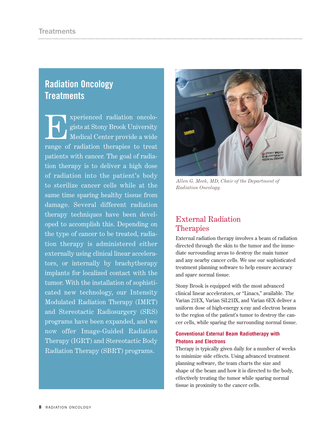## **Radiation Oncology Treatments**

Experienced radiation oncolo-<br>gists at Stony Brook University<br>Medical Center provide a wide gists at Stony Brook University Medical Center provide a wide range of radiation therapies to treat patients with cancer. The goal of radiation therapy is to deliver a high dose of radiation into the patient's body to sterilize cancer cells while at the same time sparing healthy tissue from damage. Several different radiation therapy techniques have been developed to accomplish this. Depending on the type of cancer to be treated, radiation therapy is administered either externally using clinical linear accelerators, or internally by brachytherapy implants for localized contact with the tumor. With the installation of sophisticated new technology, our Intensity Modulated Radiation Therapy (IMRT) and Stereotactic Radiosurgery (SRS) programs have been expanded, and we now offer Image-Guided Radiation Therapy (IGRT) and Stereotactic Body Radiation Therapy (SBRT) programs.



*Allen G. Meek, MD, Chair of the Department of Radiation Oncology.*

### External Radiation Therapies

External radiation therapy involves a beam of radiation directed through the skin to the tumor and the immediate surrounding areas to destroy the main tumor and any nearby cancer cells. We use our sophisticated treatment planning software to help ensure accuracy and spare normal tissue.

Stony Brook is equipped with the most advanced clinical linear accelerators, or "Linacs," available. The Varian 21EX, Varian SiL21IX, and Varian 6EX deliver a uniform dose of high-energy x-ray and electron beams to the region of the patient's tumor to destroy the cancer cells, while sparing the surrounding normal tissue.

#### **Conventional External Beam Radiotherapy with Photons and Electrons**

Therapy is typically given daily for a number of weeks to minimize side effects. Using advanced treatment planning software, the team charts the size and shape of the beam and how it is directed to the body, effectively treating the tumor while sparing normal tissue in proximity to the cancer cells.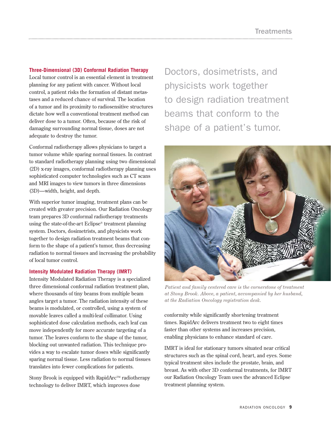#### **Three-Dimensional (3D) Conformal Radiation Therapy**

Local tumor control is an essential element in treatment planning for any patient with cancer. Without local control, a patient risks the formation of distant metastases and a reduced chance of survival. The location of a tumor and its proximity to radiosensitive structures dictate how well a conventional treatment method can deliver dose to a tumor. Often, because of the risk of damaging surrounding normal tissue, doses are not adequate to destroy the tumor.

Conformal radiotherapy allows physicians to target a tumor volume while sparing normal tissues. In contrast to standard radiotherapy planning using two dimensional (2D) x-ray images, conformal radiotherapy planning uses sophisticated computer technologies such as CT scans and MRI images to view tumors in three dimensions (3D)—width, height, and depth.

With superior tumor imaging, treatment plans can be created with greater precision. Our Radiation Oncology team prepares 3D conformal radiotherapy treatments using the state-of-the-art Eclipse® treatment planning system. Doctors, dosimetrists, and physicists work together to design radiation treatment beams that conform to the shape of a patient's tumor, thus decreasing radiation to normal tissues and increasing the probability of local tumor control.

#### **Intensity Modulated Radiation Therapy (IMRT)**

Intensity Modulated Radiation Therapy is a specialized three dimensional conformal radiation treatment plan, where thousands of tiny beams from multiple beam angles target a tumor. The radiation intensity of these beams is modulated, or controlled, using a system of movable leaves called a multi-leaf collimator. Using sophisticated dose calculation methods, each leaf can move independently for more accurate targeting of a tumor. The leaves conform to the shape of the tumor, blocking out unwanted radiation. This technique provides a way to escalate tumor doses while significantly sparing normal tissue. Less radiation to normal tissues translates into fewer complications for patients.

Stony Brook is equipped with RapidArc $T_M$  radiotherapy technology to deliver IMRT, which improves dose

Doctors, dosimetrists, and physicists work together to design radiation treatment beams that conform to the shape of a patient's tumor.



*Patient and family centered care is the cornerstone of treatment at Stony Brook. Above, a patient, accompanied by her husband, at the Radiation Oncology registration desk.*

conformity while significantly shortening treatment times. RapidArc delivers treatment two to eight times faster than other systems and increases precision, enabling physicians to enhance standard of care.

IMRT is ideal for stationary tumors situated near critical structures such as the spinal cord, heart, and eyes. Some typical treatment sites include the prostate, brain, and breast. As with other 3D conformal treatments, for IMRT our Radiation Oncology Team uses the advanced Eclipse treatment planning system.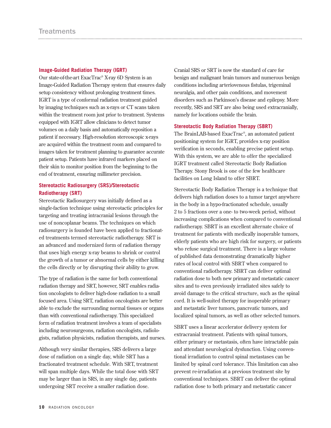#### **Image-Guided Radiation Therapy (IGRT)**

Our state-of-the-art ExacTrac® X-ray 6D System is an Image-Guided Radiation Therapy system that ensures daily setup consistency without prolonging treatment times. IGRT is a type of conformal radiation treatment guided by imaging techniques such as x-rays or CT scans taken within the treatment room just prior to treatment. Systems equipped with IGRT allow clinicians to detect tumor volumes on a daily basis and automatically reposition a patient if necessary. High-resolution stereoscopic x-rays are acquired within the treatment room and compared to images taken for treatment planning to guarantee accurate patient setup. Patients have infrared markers placed on their skin to monitor position from the beginning to the end of treatment, ensuring millimeter precision.

#### **Stereotactic Radiosurgery (SRS)/Stereotactic Radiotherapy (SRT)**

Stereotactic Radiosurgery was initially defined as a single-faction technique using stereotactic principles for targeting and treating intracranial lesions through the use of noncoplanar beams. The techniques on which radiosurgery is founded have been applied to fractionated treatments termed stereotactic radiotherapy. SRT is an advanced and modernized form of radiation therapy that uses high energy x-ray beams to shrink or control the growth of a tumor or abnormal cells by either killing the cells directly or by disrupting their ability to grow.

The type of radiation is the same for both conventional radiation therapy and SRT, however, SRT enables radiation oncologists to deliver high-dose radiation to a small focused area. Using SRT, radiation oncologists are better able to exclude the surrounding normal tissues or organs than with conventional radiotherapy. This specialized form of radiation treatment involves a team of specialists including neurosurgeons, radiation oncologists, radiologists, radiation physicists, radiation therapists, and nurses.

Although very similar therapies, SRS delivers a large dose of radiation on a single day, while SRT has a fractionated treatment schedule. With SRT, treatment will span multiple days. While the total dose with SRT may be larger than in SRS, in any single day, patients undergoing SRT receive a smaller radiation dose.

Cranial SRS or SRT is now the standard of care for benign and malignant brain tumors and numerous benign conditions including arteriovenous fistulas, trigeminal neuralgia, and other pain conditions, and movement disorders such as Parkinson's disease and epilepsy. More recently, SRS and SRT are also being used extracranially, namely for locations outside the brain.

#### **Stereotactic Body Radiation Therapy (SBRT)**

The BrainLAB-based ExacTrac®, an automated patient positioning system for IGRT, provides x-ray position verification in seconds, enabling precise patient setup. With this system, we are able to offer the specialized IGRT treatment called Stereotactic Body Radiation Therapy. Stony Brook is one of the few healthcare facilities on Long Island to offer SBRT.

Stereotactic Body Radiation Therapy is a technique that delivers high radiation doses to a tumor target anywhere in the body in a hypo-fractionated schedule, usually 2 to 5 fractions over a one- to two-week period, without increasing complications when compared to conventional radiotherapy. SBRT is an excellent alternate choice of treatment for patients with medically inoperable tumors, elderly patients who are high risk for surgery, or patients who refuse surgical treatment. There is a large volume of published data demonstrating dramatically higher rates of local control with SBRT when compared to conventional radiotherapy. SBRT can deliver optimal radiation dose to both new primary and metastatic cancer sites and to even previously irradiated sites safely to avoid damage to the critical structure, such as the spinal cord. It is well-suited therapy for inoperable primary and metastatic liver tumors, pancreatic tumors, and localized spinal tumors, as well as other selected tumors.

SBRT uses a linear accelerator delivery system for extracranial treatment. Patients with spinal tumors, either primary or metastasis, often have intractable pain and attendant neurological dysfunction. Using conventional irradiation to control spinal metastases can be limited by spinal cord tolerance. This limitation can also prevent re-irradiation at a previous treatment site by conventional techniques. SBRT can deliver the optimal radiation dose to both primary and metastatic cancer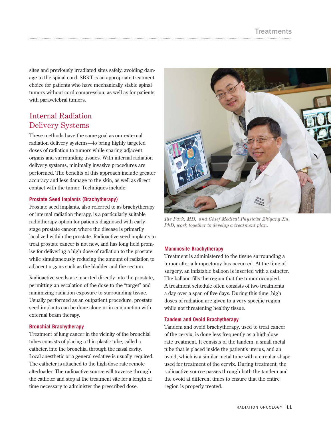sites and previously irradiated sites safely, avoiding damage to the spinal cord. SBRT is an appropriate treatment choice for patients who have mechanically stable spinal tumors without cord compression, as well as for patients with paravetebral tumors.

### Internal Radiation Delivery Systems

These methods have the same goal as our external radiation delivery systems—to bring highly targeted doses of radiation to tumors while sparing adjacent organs and surrounding tissues. With internal radiation delivery systems, minimally invasive procedures are performed. The benefits of this approach include greater accuracy and less damage to the skin, as well as direct contact with the tumor. Techniques include:

#### **Prostate Seed Implants (Brachytherapy)**

Prostate seed implants, also referred to as brachytherapy or internal radiation therapy, is a particularly suitable radiotherapy option for patients diagnosed with earlystage prostate cancer, where the disease is primarily localized within the prostate. Radioactive seed implants to treat prostate cancer is not new, and has long held promise for delivering a high dose of radiation to the prostate while simultaneously reducing the amount of radiation to adjacent organs such as the bladder and the rectum.

Radioactive seeds are inserted directly into the prostate, permitting an escalation of the dose to the "target" and minimizing radiation exposure to surrounding tissue. Usually performed as an outpatient procedure, prostate seed implants can be done alone or in conjunction with external beam therapy.

#### **Bronchial Brachytherapy**

Treatment of lung cancer in the vicinity of the bronchial tubes consists of placing a thin plastic tube, called a catheter, into the bronchial through the nasal cavity. Local anesthetic or a general sedative is usually required. The catheter is attached to the high-dose rate remote afterloader. The radioactive source will traverse through the catheter and stop at the treatment site for a length of time necessary to administer the prescribed dose.



*Tae Park, MD, and Chief Medical Physicist Zhigang Xu, PhD, work together to develop a treatment plan.* 

#### **Mammosite Brachytherapy**

Treatment is administered to the tissue surrounding a tumor after a lumpectomy has occurred. At the time of surgery, an inflatable balloon is inserted with a catheter. The balloon fills the region that the tumor occupied. A treatment schedule often consists of two treatments a day over a span of five days. During this time, high doses of radiation are given to a very specific region while not threatening healthy tissue.

#### **Tandem and Ovoid Brachytherapy**

Tandem and ovoid brachytherapy, used to treat cancer of the cervix, is done less frequently as a high-dose rate treatment. It consists of the tandem, a small metal tube that is placed inside the patient's uterus, and an ovoid, which is a similar metal tube with a circular shape used for treatment of the cervix. During treatment, the radioactive source passes through both the tandem and the ovoid at different times to ensure that the entire region is properly treated.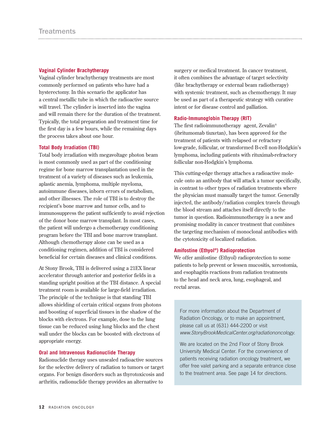#### **Vaginal Cylinder Brachytherapy**

Vaginal cylinder brachytherapy treatments are most commonly performed on patients who have had a hysterectomy. In this scenario the applicator has a central metallic tube in which the radioactive source will travel. The cylinder is inserted into the vagina and will remain there for the duration of the treatment. Typically, the total preparation and treatment time for the first day is a few hours, while the remaining days the process takes about one hour.

#### **Total Body Irradiation (TBI)**

Total body irradiation with megavoltage photon beam is most commonly used as part of the conditioning regime for bone marrow transplantation used in the treatment of a variety of diseases such as leukemia, aplastic anemia, lymphoma, multiple myeloma, autoimmune diseases, inborn errors of metabolism, and other illnesses. The role of TBI is to destroy the recipient's bone marrow and tumor cells, and to immunosuppress the patient sufficiently to avoid rejection of the donor bone marrow transplant. In most cases, the patient will undergo a chemotherapy conditioning program before the TBI and bone marrow transplant. Although chemotherapy alone can be used as a conditioning regimen, addition of TBI is considered beneficial for certain diseases and clinical conditions.

At Stony Brook, TBI is delivered using a 21EX linear accelerator through anterior and posterior fields in a standing upright position at the TBI distance. A special treatment room is available for large-field irradiation. The principle of the technique is that standing TBI allows shielding of certain critical organs from photons and boosting of superficial tissues in the shadow of the blocks with electrons. For example, dose to the lung tissue can be reduced using lung blocks and the chest wall under the blocks can be boosted with electrons of appropriate energy.

#### **Oral and Intravenous Radionuclide Therapy**

Radionuclide therapy uses unsealed radioactive sources for the selective delivery of radiation to tumors or target organs. For benign disorders such as thyrotoxicosis and arthritis, radionuclide therapy provides an alternative to

surgery or medical treatment. In cancer treatment, it often combines the advantage of target selectivity (like brachytherapy or external beam radiotherapy) with systemic treatment, such as chemotherapy. It may be used as part of a therapeutic strategy with curative intent or for disease control and palliation.

#### **Radio-Immunoglobin Therapy (RIT)**

The first radioimmunotherapy agent, Zevalin® (ibritumomab tiuxetan), has been approved for the treatment of patients with relapsed or refractory low-grade, follicular, or transformed B-cell non-Hodgkin's lymphoma, including patients with rituximab-refractory follicular non-Hodgkin's lymphoma.

This cutting-edge therapy attaches a radioactive molecule onto an antibody that will attack a tumor specifically, in contrast to other types of radiation treatments where the physician must manually target the tumor. Generally injected, the antibody/radiation complex travels through the blood stream and attaches itself directly to the tumor in question. Radioimmunotherapy is a new and promising modality in cancer treatment that combines the targeting mechanism of monoclonal antibodies with the cytotoxicity of localized radiation.

#### **Amifostine (Ethyol®) Radioprotection**

We offer amifostine (Ethyol) radioprotection to some patients to help prevent or lessen mucositis, xerostomia, and esophagitis reactions from radiation treatments to the head and neck area, lung, esophageal, and rectal areas.

For more information about the Department of Radiation Oncology, or to make an appointment, please call us at (631) 444-2200 or visit www.StonyBrookMedicalCenter.org/radiationoncology.

We are located on the 2nd Floor of Stony Brook University Medical Center. For the convenience of patients receiving radiation oncology treatment, we offer free valet parking and a separate entrance close to the treatment area. See page 14 for directions.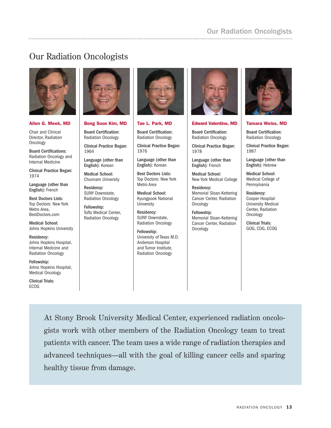# Our Radiation Oncologists



#### Allen G. Meek, MD

Chair and Clinical Director, Radiation **Oncology** 

Board Certifications: Radiation Oncology and Internal Medicine

Clinical Practice Began: 1974

Language (other than English): French

Best Doctors Lists: Top Doctors: New York Metro Area, BestDoctors.com

Medical School: Johns Hopkins University

Residency: Johns Hopkins Hospital, Internal Medicine and Radiation Oncology

Fellowship: Johns Hopkins Hospital, Medical Oncology

Clinical Trials: ECOG



Bong Soon Kim, MD

Board Certification: Radiation Oncology

Clinical Practice Began: 1964

Language (other than English): Korean

Medical School: Chunnam University

Residency: SUNY Downstate, Radiation Oncology

Fellowship: Tufts Medical Center, Radiation Oncology



#### Tae L. Park, MD

Board Certification: Radiation Oncology

Clinical Practice Began: 1976

Language (other than English): Korean

Best Doctors Lists: Top Doctors: New York Metro Area

Medical School: Kyungpook National University

Residency: SUNY Downstate, Radiation Oncology

Fellowship: University of Texas M.D. Anderson Hospital and Tumor Institute, Radiation Oncology



#### Edward Valentine, MD

Board Certification: Radiation Oncology

Clinical Practice Began: 1978

Language (other than English): French

Medical School: New York Medical College

Residency: Memorial Sloan-Kettering Cancer Center, Radiation **Oncology** 

Fellowship: Memorial Sloan-Kettering Cancer Center, Radiation **Oncology** 



#### Tamara Weiss, MD

Board Certification: Radiation Oncology

Clinical Practice Began: 1987

Language (other than English): Hebrew

Medical School: Medical College of Pennsylvania

Residency: Cooper Hospital University Medical Center, Radiation Oncology

Clinical Trials: GOG, COG, ECOG

At Stony Brook University Medical Center, experienced radiation oncologists work with other members of the Radiation Oncology team to treat patients with cancer. The team uses a wide range of radiation therapies and advanced techniques—all with the goal of killing cancer cells and sparing healthy tissue from damage.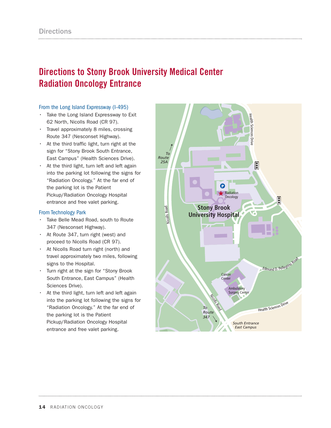# **Directions to Stony Brook University Medical Center Radiation Oncology Entrance**

#### From the Long Island Expressway (I-495)

- Take the Long Island Expressway to Exit 62 North, Nicolls Road (CR 97).
- Travel approximately 8 miles, crossing Route 347 (Nesconset Highway).
- At the third traffic light, turn right at the sign for "Stony Brook South Entrance, East Campus" (Health Sciences Drive).
- At the third light, turn left and left again into the parking lot following the signs for "Radiation Oncology." At the far end of the parking lot is the Patient Pickup/Radiation Oncology Hospital entrance and free valet parking.

#### From Technology Park

- Take Belle Mead Road, south to Route 347 (Nesconset Highway).
- At Route 347, turn right (west) and proceed to Nicolls Road (CR 97).
- At Nicolls Road turn right (north) and travel approximately two miles, following signs to the Hospital.
- Turn right at the sign for "Stony Brook South Entrance, East Campus" (Health Sciences Drive).
- At the third light, turn left and left again into the parking lot following the signs for "Radiation Oncology." At the far end of the parking lot is the Patient Pickup/Radiation Oncology Hospital entrance and free valet parking.

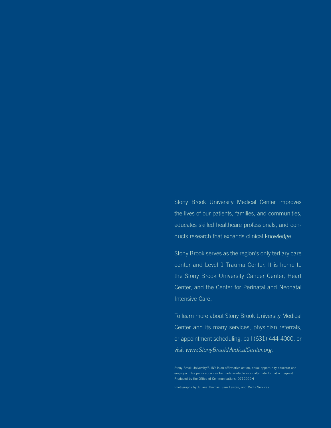Stony Brook University Medical Center improves the lives of our patients, families, and communities, educates skilled healthcare professionals, and conducts research that expands clinical knowledge.

Stony Brook serves as the region's only tertiary care center and Level 1 Trauma Center. It is home to the Stony Brook University Cancer Center, Heart Center, and the Center for Perinatal and Neonatal Intensive Care.

To learn more about Stony Brook University Medical Center and its many services, physician referrals, or appointment scheduling, call (631) 444-4000, or visit www.StonyBrookMedicalCenter.org.

Photographs by Juliana Thomas, Sam Levitan, and Media Services

Stony Brook University/SUNY is an affirmative action, equal opportunity educator and employer. This publication can be made available in an alternate format on request. Produced by the Office of Communications. 0712022H